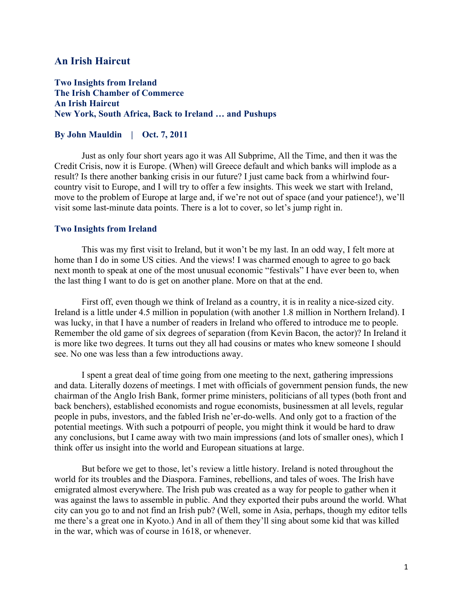# **An Irish Haircut**

**Two Insights from Ireland The Irish Chamber of Commerce An Irish Haircut New York, South Africa, Back to Ireland … and Pushups**

## **By John Mauldin | Oct. 7, 2011**

Just as only four short years ago it was All Subprime, All the Time, and then it was the Credit Crisis, now it is Europe. (When) will Greece default and which banks will implode as a result? Is there another banking crisis in our future? I just came back from a whirlwind fourcountry visit to Europe, and I will try to offer a few insights. This week we start with Ireland, move to the problem of Europe at large and, if we're not out of space (and your patience!), we'll visit some last-minute data points. There is a lot to cover, so let's jump right in.

### **Two Insights from Ireland**

This was my first visit to Ireland, but it won't be my last. In an odd way, I felt more at home than I do in some US cities. And the views! I was charmed enough to agree to go back next month to speak at one of the most unusual economic "festivals" I have ever been to, when the last thing I want to do is get on another plane. More on that at the end.

First off, even though we think of Ireland as a country, it is in reality a nice-sized city. Ireland is a little under 4.5 million in population (with another 1.8 million in Northern Ireland). I was lucky, in that I have a number of readers in Ireland who offered to introduce me to people. Remember the old game of six degrees of separation (from Kevin Bacon, the actor)? In Ireland it is more like two degrees. It turns out they all had cousins or mates who knew someone I should see. No one was less than a few introductions away.

I spent a great deal of time going from one meeting to the next, gathering impressions and data. Literally dozens of meetings. I met with officials of government pension funds, the new chairman of the Anglo Irish Bank, former prime ministers, politicians of all types (both front and back benchers), established economists and rogue economists, businessmen at all levels, regular people in pubs, investors, and the fabled Irish ne'er-do-wells. And only got to a fraction of the potential meetings. With such a potpourri of people, you might think it would be hard to draw any conclusions, but I came away with two main impressions (and lots of smaller ones), which I think offer us insight into the world and European situations at large.

But before we get to those, let's review a little history. Ireland is noted throughout the world for its troubles and the Diaspora. Famines, rebellions, and tales of woes. The Irish have emigrated almost everywhere. The Irish pub was created as a way for people to gather when it was against the laws to assemble in public. And they exported their pubs around the world. What city can you go to and not find an Irish pub? (Well, some in Asia, perhaps, though my editor tells me there's a great one in Kyoto.) And in all of them they'll sing about some kid that was killed in the war, which was of course in 1618, or whenever.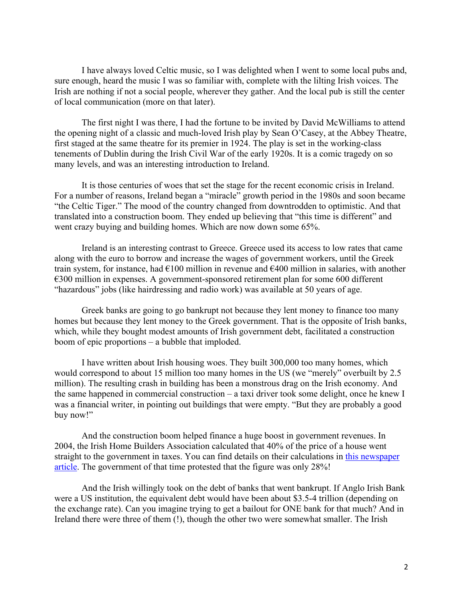I have always loved Celtic music, so I was delighted when I went to some local pubs and, sure enough, heard the music I was so familiar with, complete with the lilting Irish voices. The Irish are nothing if not a social people, wherever they gather. And the local pub is still the center of local communication (more on that later).

The first night I was there, I had the fortune to be invited by David McWilliams to attend the opening night of a classic and much-loved Irish play by Sean O'Casey, at the Abbey Theatre, first staged at the same theatre for its premier in 1924. The play is set in the working-class tenements of Dublin during the Irish Civil War of the early 1920s. It is a comic tragedy on so many levels, and was an interesting introduction to Ireland.

It is those centuries of woes that set the stage for the recent economic crisis in Ireland. For a number of reasons, Ireland began a "miracle" growth period in the 1980s and soon became "the Celtic Tiger." The mood of the country changed from downtrodden to optimistic. And that translated into a construction boom. They ended up believing that "this time is different" and went crazy buying and building homes. Which are now down some 65%.

Ireland is an interesting contrast to Greece. Greece used its access to low rates that came along with the euro to borrow and increase the wages of government workers, until the Greek train system, for instance, had  $\epsilon$ 100 million in revenue and  $\epsilon$ 400 million in salaries, with another €300 million in expenses. A government-sponsored retirement plan for some 600 different "hazardous" jobs (like hairdressing and radio work) was available at 50 years of age.

Greek banks are going to go bankrupt not because they lent money to finance too many homes but because they lent money to the Greek government. That is the opposite of Irish banks, which, while they bought modest amounts of Irish government debt, facilitated a construction boom of epic proportions – a bubble that imploded.

I have written about Irish housing woes. They built 300,000 too many homes, which would correspond to about 15 million too many homes in the US (we "merely" overbuilt by 2.5 million). The resulting crash in building has been a monstrous drag on the Irish economy. And the same happened in commercial construction – a taxi driver took some delight, once he knew I was a financial writer, in pointing out buildings that were empty. "But they are probably a good buy now!"

And the construction boom helped finance a huge boost in government revenues. In 2004, the Irish Home Builders Association calculated that 40% of the price of a house went straight to the government in taxes. You can find details on their calculations in this newspaper article. The government of that time protested that the figure was only 28%!

And the Irish willingly took on the debt of banks that went bankrupt. If Anglo Irish Bank were a US institution, the equivalent debt would have been about \$3.5-4 trillion (depending on the exchange rate). Can you imagine trying to get a bailout for ONE bank for that much? And in Ireland there were three of them (!), though the other two were somewhat smaller. The Irish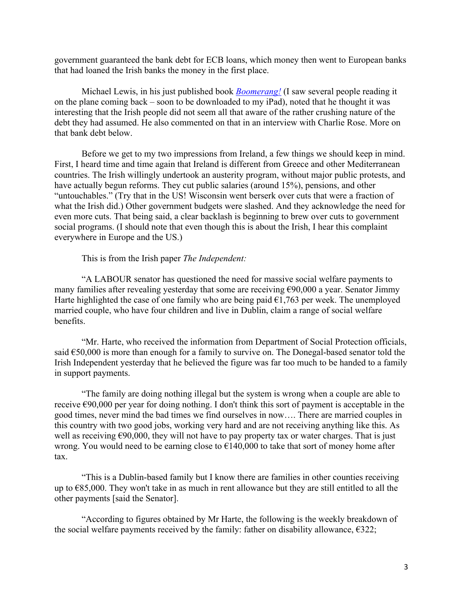government guaranteed the bank debt for ECB loans, which money then went to European banks that had loaned the Irish banks the money in the first place.

Michael Lewis, in his just published book *Boomerang!* (I saw several people reading it on the plane coming back – soon to be downloaded to my iPad), noted that he thought it was interesting that the Irish people did not seem all that aware of the rather crushing nature of the debt they had assumed. He also commented on that in an interview with Charlie Rose. More on that bank debt below.

Before we get to my two impressions from Ireland, a few things we should keep in mind. First, I heard time and time again that Ireland is different from Greece and other Mediterranean countries. The Irish willingly undertook an austerity program, without major public protests, and have actually begun reforms. They cut public salaries (around 15%), pensions, and other "untouchables." (Try that in the US! Wisconsin went berserk over cuts that were a fraction of what the Irish did.) Other government budgets were slashed. And they acknowledge the need for even more cuts. That being said, a clear backlash is beginning to brew over cuts to government social programs. (I should note that even though this is about the Irish, I hear this complaint everywhere in Europe and the US.)

This is from the Irish paper *The Independent:*

"A LABOUR senator has questioned the need for massive social welfare payments to many families after revealing yesterday that some are receiving  $\epsilon$ 90,000 a year. Senator Jimmy Harte highlighted the case of one family who are being paid  $\epsilon$ 1,763 per week. The unemployed married couple, who have four children and live in Dublin, claim a range of social welfare benefits.

"Mr. Harte, who received the information from Department of Social Protection officials, said €50,000 is more than enough for a family to survive on. The Donegal-based senator told the Irish Independent yesterday that he believed the figure was far too much to be handed to a family in support payments.

"The family are doing nothing illegal but the system is wrong when a couple are able to receive €90,000 per year for doing nothing. I don't think this sort of payment is acceptable in the good times, never mind the bad times we find ourselves in now…. There are married couples in this country with two good jobs, working very hard and are not receiving anything like this. As well as receiving  $\epsilon$ 90,000, they will not have to pay property tax or water charges. That is just wrong. You would need to be earning close to  $\epsilon$ 140,000 to take that sort of money home after tax.

"This is a Dublin-based family but I know there are families in other counties receiving up to €85,000. They won't take in as much in rent allowance but they are still entitled to all the other payments [said the Senator].

"According to figures obtained by Mr Harte, the following is the weekly breakdown of the social welfare payments received by the family: father on disability allowance,  $\epsilon$ 322;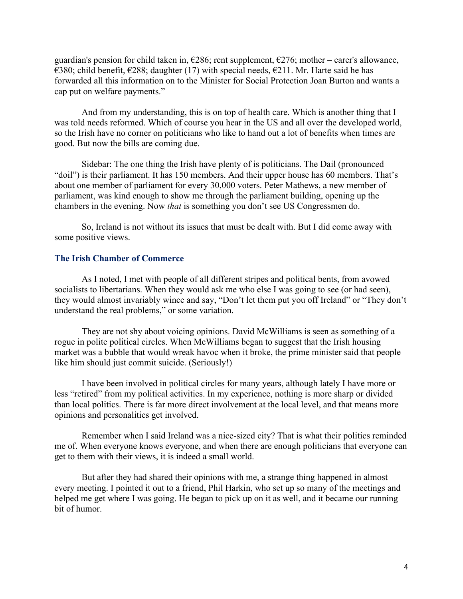guardian's pension for child taken in,  $\epsilon$ 286; rent supplement,  $\epsilon$ 276; mother – carer's allowance, €380; child benefit, €288; daughter (17) with special needs, €211. Mr. Harte said he has forwarded all this information on to the Minister for Social Protection Joan Burton and wants a cap put on welfare payments."

And from my understanding, this is on top of health care. Which is another thing that I was told needs reformed. Which of course you hear in the US and all over the developed world, so the Irish have no corner on politicians who like to hand out a lot of benefits when times are good. But now the bills are coming due.

Sidebar: The one thing the Irish have plenty of is politicians. The Dail (pronounced "doil") is their parliament. It has 150 members. And their upper house has 60 members. That's about one member of parliament for every 30,000 voters. Peter Mathews, a new member of parliament, was kind enough to show me through the parliament building, opening up the chambers in the evening. Now *that* is something you don't see US Congressmen do.

So, Ireland is not without its issues that must be dealt with. But I did come away with some positive views.

## **The Irish Chamber of Commerce**

As I noted, I met with people of all different stripes and political bents, from avowed socialists to libertarians. When they would ask me who else I was going to see (or had seen), they would almost invariably wince and say, "Don't let them put you off Ireland" or "They don't understand the real problems," or some variation.

They are not shy about voicing opinions. David McWilliams is seen as something of a rogue in polite political circles. When McWilliams began to suggest that the Irish housing market was a bubble that would wreak havoc when it broke, the prime minister said that people like him should just commit suicide. (Seriously!)

I have been involved in political circles for many years, although lately I have more or less "retired" from my political activities. In my experience, nothing is more sharp or divided than local politics. There is far more direct involvement at the local level, and that means more opinions and personalities get involved.

Remember when I said Ireland was a nice-sized city? That is what their politics reminded me of. When everyone knows everyone, and when there are enough politicians that everyone can get to them with their views, it is indeed a small world.

But after they had shared their opinions with me, a strange thing happened in almost every meeting. I pointed it out to a friend, Phil Harkin, who set up so many of the meetings and helped me get where I was going. He began to pick up on it as well, and it became our running bit of humor.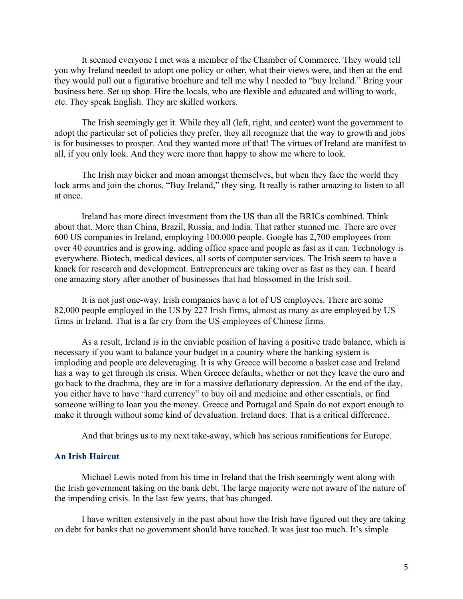It seemed everyone I met was a member of the Chamber of Commerce. They would tell you why Ireland needed to adopt one policy or other, what their views were, and then at the end they would pull out a figurative brochure and tell me why I needed to "buy Ireland." Bring your business here. Set up shop. Hire the locals, who are flexible and educated and willing to work, etc. They speak English. They are skilled workers.

The Irish seemingly get it. While they all (left, right, and center) want the government to adopt the particular set of policies they prefer, they all recognize that the way to growth and jobs is for businesses to prosper. And they wanted more of that! The virtues of Ireland are manifest to all, if you only look. And they were more than happy to show me where to look.

The Irish may bicker and moan amongst themselves, but when they face the world they lock arms and join the chorus. "Buy Ireland," they sing. It really is rather amazing to listen to all at once.

Ireland has more direct investment from the US than all the BRICs combined. Think about that. More than China, Brazil, Russia, and India. That rather stunned me. There are over 600 US companies in Ireland, employing 100,000 people. Google has 2,700 employees from over 40 countries and is growing, adding office space and people as fast as it can. Technology is everywhere. Biotech, medical devices, all sorts of computer services. The Irish seem to have a knack for research and development. Entrepreneurs are taking over as fast as they can. I heard one amazing story after another of businesses that had blossomed in the Irish soil.

It is not just one-way. Irish companies have a lot of US employees. There are some 82,000 people employed in the US by 227 Irish firms, almost as many as are employed by US firms in Ireland. That is a far cry from the US employees of Chinese firms.

As a result, Ireland is in the enviable position of having a positive trade balance, which is necessary if you want to balance your budget in a country where the banking system is imploding and people are deleveraging. It is why Greece will become a basket case and Ireland has a way to get through its crisis. When Greece defaults, whether or not they leave the euro and go back to the drachma, they are in for a massive deflationary depression. At the end of the day, you either have to have "hard currency" to buy oil and medicine and other essentials, or find someone willing to loan you the money. Greece and Portugal and Spain do not export enough to make it through without some kind of devaluation. Ireland does. That is a critical difference.

And that brings us to my next take-away, which has serious ramifications for Europe.

## **An Irish Haircut**

Michael Lewis noted from his time in Ireland that the Irish seemingly went along with the Irish government taking on the bank debt. The large majority were not aware of the nature of the impending crisis. In the last few years, that has changed.

I have written extensively in the past about how the Irish have figured out they are taking on debt for banks that no government should have touched. It was just too much. It's simple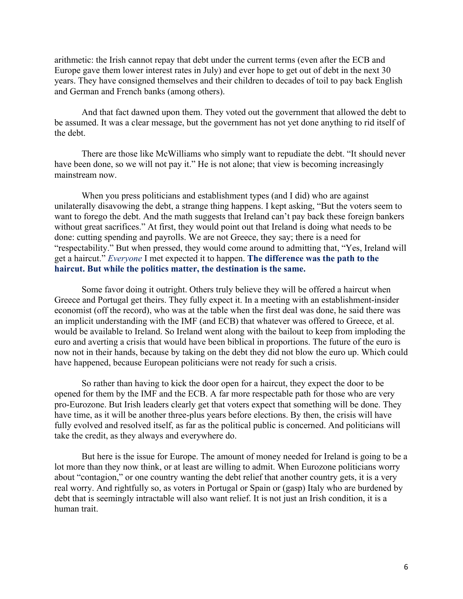arithmetic: the Irish cannot repay that debt under the current terms (even after the ECB and Europe gave them lower interest rates in July) and ever hope to get out of debt in the next 30 years. They have consigned themselves and their children to decades of toil to pay back English and German and French banks (among others).

And that fact dawned upon them. They voted out the government that allowed the debt to be assumed. It was a clear message, but the government has not yet done anything to rid itself of the debt.

There are those like McWilliams who simply want to repudiate the debt. "It should never have been done, so we will not pay it." He is not alone; that view is becoming increasingly mainstream now.

When you press politicians and establishment types (and I did) who are against unilaterally disavowing the debt, a strange thing happens. I kept asking, "But the voters seem to want to forego the debt. And the math suggests that Ireland can't pay back these foreign bankers without great sacrifices." At first, they would point out that Ireland is doing what needs to be done: cutting spending and payrolls. We are not Greece, they say; there is a need for "respectability." But when pressed, they would come around to admitting that, "Yes, Ireland will get a haircut." *Everyone* I met expected it to happen. **The difference was the path to the haircut. But while the politics matter, the destination is the same.**

Some favor doing it outright. Others truly believe they will be offered a haircut when Greece and Portugal get theirs. They fully expect it. In a meeting with an establishment-insider economist (off the record), who was at the table when the first deal was done, he said there was an implicit understanding with the IMF (and ECB) that whatever was offered to Greece, et al. would be available to Ireland. So Ireland went along with the bailout to keep from imploding the euro and averting a crisis that would have been biblical in proportions. The future of the euro is now not in their hands, because by taking on the debt they did not blow the euro up. Which could have happened, because European politicians were not ready for such a crisis.

So rather than having to kick the door open for a haircut, they expect the door to be opened for them by the IMF and the ECB. A far more respectable path for those who are very pro-Eurozone. But Irish leaders clearly get that voters expect that something will be done. They have time, as it will be another three-plus years before elections. By then, the crisis will have fully evolved and resolved itself, as far as the political public is concerned. And politicians will take the credit, as they always and everywhere do.

But here is the issue for Europe. The amount of money needed for Ireland is going to be a lot more than they now think, or at least are willing to admit. When Eurozone politicians worry about "contagion," or one country wanting the debt relief that another country gets, it is a very real worry. And rightfully so, as voters in Portugal or Spain or (gasp) Italy who are burdened by debt that is seemingly intractable will also want relief. It is not just an Irish condition, it is a human trait.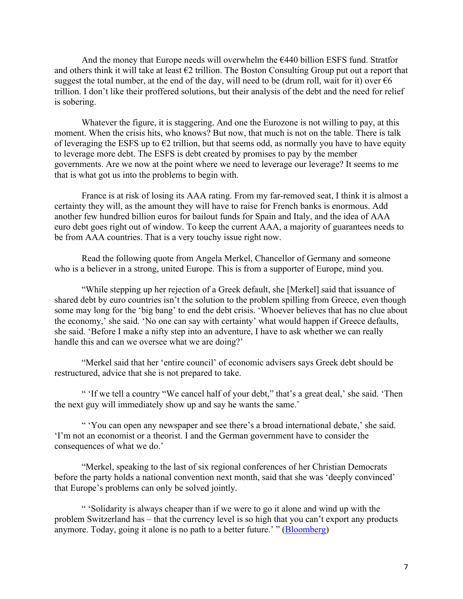And the money that Europe needs will overwhelm the  $E440$  billion ESFS fund. Stratfor and others think it will take at least €2 trillion. The Boston Consulting Group put out a report that suggest the total number, at the end of the day, will need to be (drum roll, wait for it) over  $\epsilon$ 6 trillion. I don't like their proffered solutions, but their analysis of the debt and the need for relief is sobering.

Whatever the figure, it is staggering. And one the Eurozone is not willing to pay, at this moment. When the crisis hits, who knows? But now, that much is not on the table. There is talk of leveraging the ESFS up to  $\epsilon$ 2 trillion, but that seems odd, as normally you have to have equity to leverage more debt. The ESFS is debt created by promises to pay by the member governments. Are we now at the point where we need to leverage our leverage? It seems to me that is what got us into the problems to begin with.

France is at risk of losing its AAA rating. From my far-removed seat, I think it is almost a certainty they will, as the amount they will have to raise for French banks is enormous. Add another few hundred billion euros for bailout funds for Spain and Italy, and the idea of AAA euro debt goes right out of window. To keep the current AAA, a majority of guarantees needs to be from AAA countries. That is a very touchy issue right now.

Read the following quote from Angela Merkel, Chancellor of Germany and someone who is a believer in a strong, united Europe. This is from a supporter of Europe, mind you.

"While stepping up her rejection of a Greek default, she [Merkel] said that issuance of shared debt by euro countries isn't the solution to the problem spilling from Greece, even though some may long for the 'big bang' to end the debt crisis. 'Whoever believes that has no clue about the economy,' she said. 'No one can say with certainty' what would happen if Greece defaults, she said. 'Before I make a nifty step into an adventure, I have to ask whether we can really handle this and can we oversee what we are doing?'

"Merkel said that her 'entire council' of economic advisers says Greek debt should be restructured, advice that she is not prepared to take.

" 'If we tell a country "We cancel half of your debt," that's a great deal,' she said. 'Then the next guy will immediately show up and say he wants the same.'

" 'You can open any newspaper and see there's a broad international debate,' she said. 'I'm not an economist or a theorist. I and the German government have to consider the consequences of what we do.'

"Merkel, speaking to the last of six regional conferences of her Christian Democrats before the party holds a national convention next month, said that she was 'deeply convinced' that Europe's problems can only be solved jointly.

" 'Solidarity is always cheaper than if we were to go it alone and wind up with the problem Switzerland has – that the currency level is so high that you can't export any products anymore. Today, going it alone is no path to a better future.' " (Bloomberg)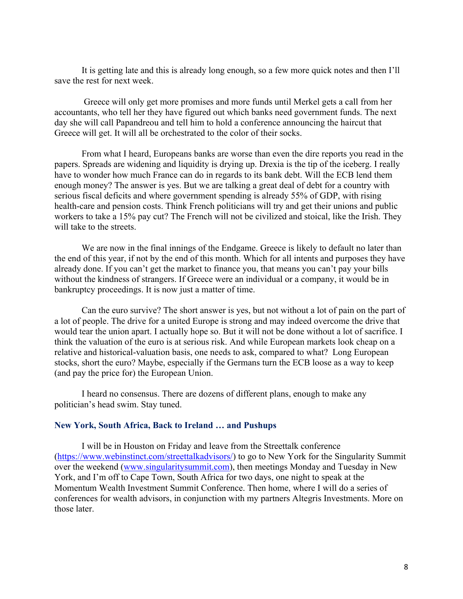It is getting late and this is already long enough, so a few more quick notes and then I'll save the rest for next week.

 Greece will only get more promises and more funds until Merkel gets a call from her accountants, who tell her they have figured out which banks need government funds. The next day she will call Papandreou and tell him to hold a conference announcing the haircut that Greece will get. It will all be orchestrated to the color of their socks.

From what I heard, Europeans banks are worse than even the dire reports you read in the papers. Spreads are widening and liquidity is drying up. Drexia is the tip of the iceberg. I really have to wonder how much France can do in regards to its bank debt. Will the ECB lend them enough money? The answer is yes. But we are talking a great deal of debt for a country with serious fiscal deficits and where government spending is already 55% of GDP, with rising health-care and pension costs. Think French politicians will try and get their unions and public workers to take a 15% pay cut? The French will not be civilized and stoical, like the Irish. They will take to the streets.

We are now in the final innings of the Endgame. Greece is likely to default no later than the end of this year, if not by the end of this month. Which for all intents and purposes they have already done. If you can't get the market to finance you, that means you can't pay your bills without the kindness of strangers. If Greece were an individual or a company, it would be in bankruptcy proceedings. It is now just a matter of time.

Can the euro survive? The short answer is yes, but not without a lot of pain on the part of a lot of people. The drive for a united Europe is strong and may indeed overcome the drive that would tear the union apart. I actually hope so. But it will not be done without a lot of sacrifice. I think the valuation of the euro is at serious risk. And while European markets look cheap on a relative and historical-valuation basis, one needs to ask, compared to what? Long European stocks, short the euro? Maybe, especially if the Germans turn the ECB loose as a way to keep (and pay the price for) the European Union.

I heard no consensus. There are dozens of different plans, enough to make any politician's head swim. Stay tuned.

## **New York, South Africa, Back to Ireland … and Pushups**

I will be in Houston on Friday and leave from the Streettalk conference (https://www.webinstinct.com/streettalkadvisors/) to go to New York for the Singularity Summit over the weekend (www.singularitysummit.com), then meetings Monday and Tuesday in New York, and I'm off to Cape Town, South Africa for two days, one night to speak at the Momentum Wealth Investment Summit Conference. Then home, where I will do a series of conferences for wealth advisors, in conjunction with my partners Altegris Investments. More on those later.